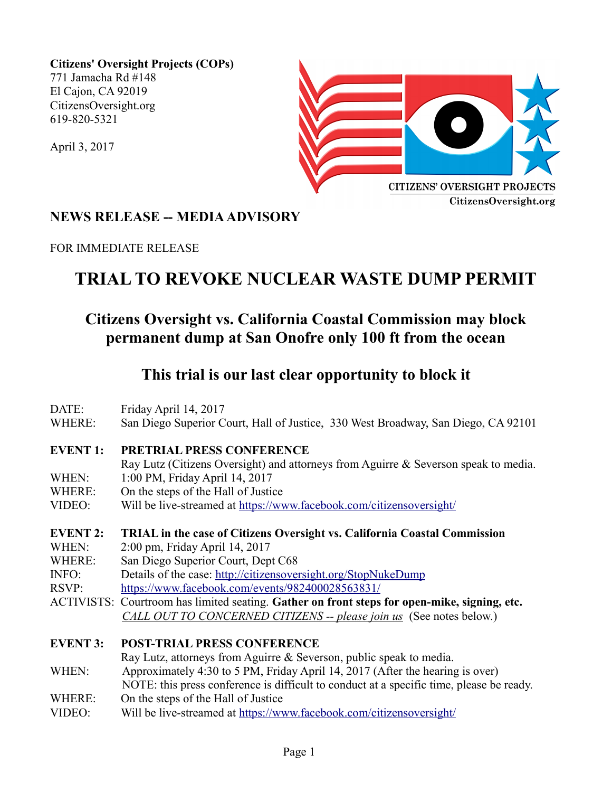**Citizens' Oversight Projects (COPs)** 771 Jamacha Rd #148 El Cajon, CA 92019 CitizensOversight.org 619-820-5321

April 3, 2017



### **NEWS RELEASE -- MEDIA ADVISORY**

FOR IMMEDIATE RELEASE

# **TRIAL TO REVOKE NUCLEAR WASTE DUMP PERMIT**

## **Citizens Oversight vs. California Coastal Commission may block permanent dump at San Onofre only 100 ft from the ocean**

### **This trial is our last clear opportunity to block it**

| DATE:           | Friday April 14, 2017                                                                        |  |
|-----------------|----------------------------------------------------------------------------------------------|--|
| WHERE:          | San Diego Superior Court, Hall of Justice, 330 West Broadway, San Diego, CA 92101            |  |
| <b>EVENT1:</b>  | <b>PRETRIAL PRESS CONFERENCE</b>                                                             |  |
|                 | Ray Lutz (Citizens Oversight) and attorneys from Aguirre & Severson speak to media.          |  |
| WHEN:           | 1:00 PM, Friday April 14, 2017                                                               |  |
| WHERE:          | On the steps of the Hall of Justice                                                          |  |
| VIDEO:          | Will be live-streamed at https://www.facebook.com/citizensoversight/                         |  |
| <b>EVENT 2:</b> | <b>TRIAL</b> in the case of Citizens Oversight vs. California Coastal Commission             |  |
| WHEN:           | 2:00 pm, Friday April 14, 2017                                                               |  |
| WHERE:          | San Diego Superior Court, Dept C68                                                           |  |
| INFO:           | Details of the case: http://citizensoversight.org/StopNukeDump                               |  |
| RSVP:           | https://www.facebook.com/events/982400028563831/                                             |  |
|                 | ACTIVISTS: Courtroom has limited seating. Gather on front steps for open-mike, signing, etc. |  |
|                 | CALL OUT TO CONCERNED CITIZENS -- please join us (See notes below.)                          |  |
| <b>EVENT 3:</b> | <b>POST-TRIAL PRESS CONFERENCE</b>                                                           |  |
|                 | Ray Lutz, attorneys from Aguirre & Severson, public speak to media.                          |  |
| WHEN:           | Approximately 4:30 to 5 PM, Friday April 14, 2017 (After the hearing is over)                |  |
|                 | NOTE: this press conference is difficult to conduct at a specific time, please be ready.     |  |
| WHERE:          | On the steps of the Hall of Justice                                                          |  |
| VIDEO:          | Will be live-streamed at https://www.facebook.com/citizensoversight/                         |  |
|                 |                                                                                              |  |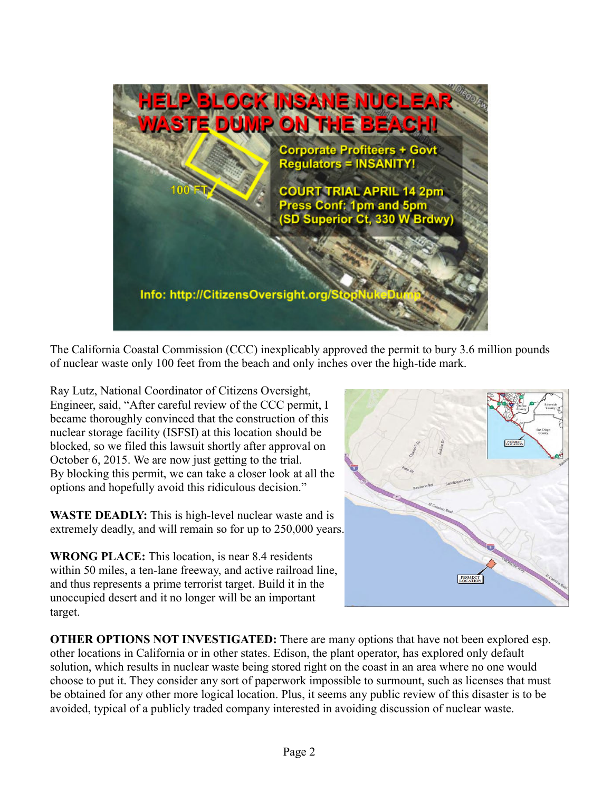

The California Coastal Commission (CCC) inexplicably approved the permit to bury 3.6 million pounds of nuclear waste only 100 feet from the beach and only inches over the high-tide mark.

Ray Lutz, National Coordinator of Citizens Oversight, Engineer, said, "After careful review of the CCC permit, I became thoroughly convinced that the construction of this nuclear storage facility (ISFSI) at this location should be blocked, so we filed this lawsuit shortly after approval on October 6, 2015. We are now just getting to the trial. By blocking this permit, we can take a closer look at all the options and hopefully avoid this ridiculous decision."

**WASTE DEADLY:** This is high-level nuclear waste and is extremely deadly, and will remain so for up to 250,000 years.

**WRONG PLACE:** This location, is near 8.4 residents within 50 miles, a ten-lane freeway, and active railroad line, and thus represents a prime terrorist target. Build it in the unoccupied desert and it no longer will be an important target.



**OTHER OPTIONS NOT INVESTIGATED:** There are many options that have not been explored esp. other locations in California or in other states. Edison, the plant operator, has explored only default solution, which results in nuclear waste being stored right on the coast in an area where no one would choose to put it. They consider any sort of paperwork impossible to surmount, such as licenses that must be obtained for any other more logical location. Plus, it seems any public review of this disaster is to be avoided, typical of a publicly traded company interested in avoiding discussion of nuclear waste.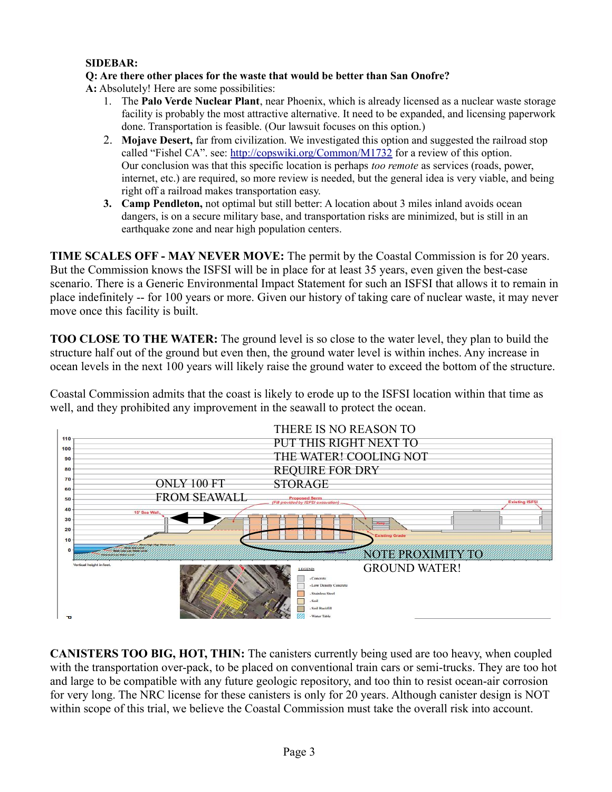#### **SIDEBAR:**

#### **Q: Are there other places for the waste that would be better than San Onofre?**

**A:** Absolutely! Here are some possibilities:

- 1. The **Palo Verde Nuclear Plant**, near Phoenix, which is already licensed as a nuclear waste storage facility is probably the most attractive alternative. It need to be expanded, and licensing paperwork done. Transportation is feasible. (Our lawsuit focuses on this option.)
- 2. **Mojave Desert,** far from civilization. We investigated this option and suggested the railroad stop called "Fishel CA". see:<http://copswiki.org/Common/M1732>for a review of this option. Our conclusion was that this specific location is perhaps *too remote* as services (roads, power, internet, etc.) are required, so more review is needed, but the general idea is very viable, and being right off a railroad makes transportation easy.
- **3. Camp Pendleton,** not optimal but still better: A location about 3 miles inland avoids ocean dangers, is on a secure military base, and transportation risks are minimized, but is still in an earthquake zone and near high population centers.

**TIME SCALES OFF - MAY NEVER MOVE:** The permit by the Coastal Commission is for 20 years. But the Commission knows the ISFSI will be in place for at least 35 years, even given the best-case scenario. There is a Generic Environmental Impact Statement for such an ISFSI that allows it to remain in place indefinitely -- for 100 years or more. Given our history of taking care of nuclear waste, it may never move once this facility is built.

**TOO CLOSE TO THE WATER:** The ground level is so close to the water level, they plan to build the structure half out of the ground but even then, the ground water level is within inches. Any increase in ocean levels in the next 100 years will likely raise the ground water to exceed the bottom of the structure.

Coastal Commission admits that the coast is likely to erode up to the ISFSI location within that time as well, and they prohibited any improvement in the seawall to protect the ocean.



**CANISTERS TOO BIG, HOT, THIN:** The canisters currently being used are too heavy, when coupled with the transportation over-pack, to be placed on conventional train cars or semi-trucks. They are too hot and large to be compatible with any future geologic repository, and too thin to resist ocean-air corrosion for very long. The NRC license for these canisters is only for 20 years. Although canister design is NOT within scope of this trial, we believe the Coastal Commission must take the overall risk into account.